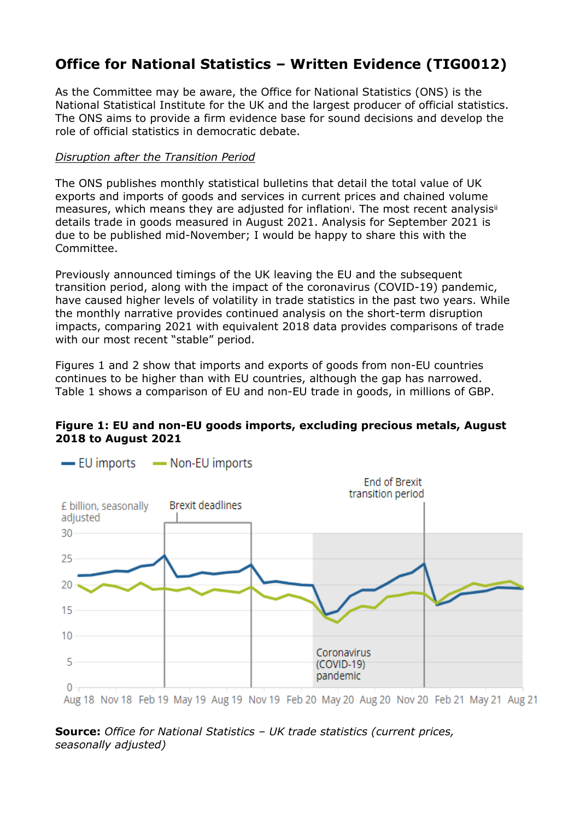# **Office for National Statistics – Written Evidence (TIG0012)**

As the Committee may be aware, the Office for National Statistics (ONS) is the National Statistical Institute for the UK and the largest producer of official statistics. The ONS aims to provide a firm evidence base for sound decisions and develop the role of official statistics in democratic debate.

### *Disruption after the Transition Period*

The ONS publishes monthly statistical bulletins that detail the total value of UK exports and imports of goods and services in current prices and chained volume measures, which means they are adjusted for inflation<sup>i</sup>. The most recent analysis<sup>ii</sup> details trade in goods measured in August 2021. Analysis for September 2021 is due to be published mid-November; I would be happy to share this with the Committee.

Previously announced timings of the UK leaving the EU and the subsequent transition period, along with the impact of the coronavirus (COVID-19) pandemic, have caused higher levels of volatility in trade statistics in the past two years. While the monthly narrative provides continued analysis on the short-term disruption impacts, comparing 2021 with equivalent 2018 data provides comparisons of trade with our most recent "stable" period.

Figures 1 and 2 show that imports and exports of goods from non-EU countries continues to be higher than with EU countries, although the gap has narrowed. Table 1 shows a comparison of EU and non-EU trade in goods, in millions of GBP.

### **Figure 1: EU and non-EU goods imports, excluding precious metals, August 2018 to August 2021**



-EU imports - Non-EU imports

**Source:** *Office for National Statistics – UK trade statistics (current prices, seasonally adjusted)*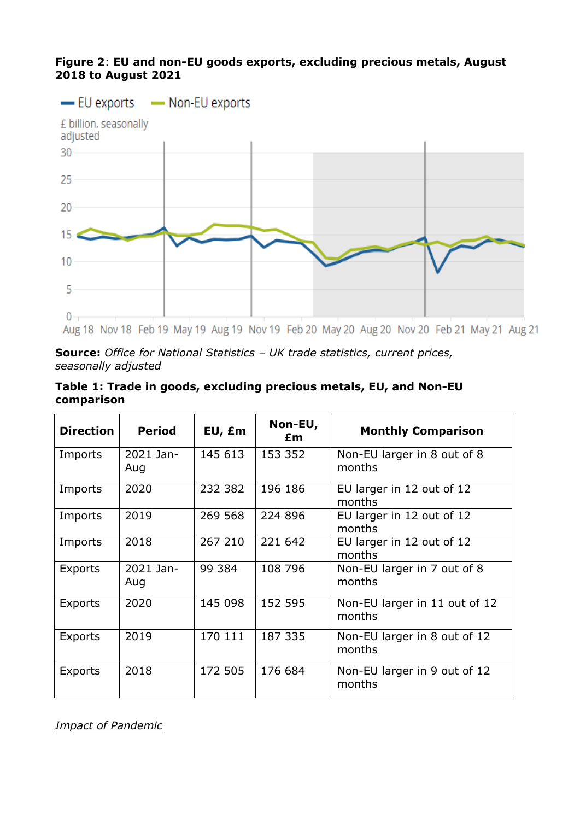## **Figure 2**: **EU and non-EU goods exports, excluding precious metals, August 2018 to August 2021**



**Source:** *Office for National Statistics – UK trade statistics, current prices, seasonally adjusted*

| Table 1: Trade in goods, excluding precious metals, EU, and Non-EU |  |  |
|--------------------------------------------------------------------|--|--|
| comparison                                                         |  |  |

| <b>Direction</b> | <b>Period</b>    | EU, £m  | Non-EU,<br>£m | <b>Monthly Comparison</b>               |
|------------------|------------------|---------|---------------|-----------------------------------------|
| Imports          | 2021 Jan-<br>Aug | 145 613 | 153 352       | Non-EU larger in 8 out of 8<br>months   |
| Imports          | 2020             | 232 382 | 196 186       | EU larger in 12 out of 12<br>months     |
| Imports          | 2019             | 269 568 | 224 896       | EU larger in 12 out of 12<br>months     |
| Imports          | 2018             | 267 210 | 221 642       | EU larger in 12 out of 12<br>months     |
| Exports          | 2021 Jan-<br>Aug | 99 384  | 108 796       | Non-EU larger in 7 out of 8<br>months   |
| Exports          | 2020             | 145 098 | 152 595       | Non-EU larger in 11 out of 12<br>months |
| <b>Exports</b>   | 2019             | 170 111 | 187 335       | Non-EU larger in 8 out of 12<br>months  |
| Exports          | 2018             | 172 505 | 176 684       | Non-EU larger in 9 out of 12<br>months  |

*Impact of Pandemic*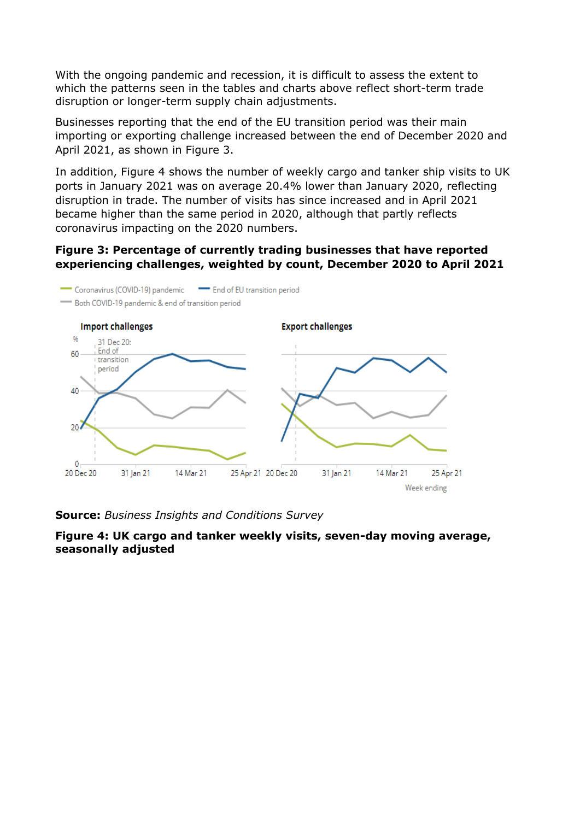With the ongoing pandemic and recession, it is difficult to assess the extent to which the patterns seen in the tables and charts above reflect short-term trade disruption or longer-term supply chain adjustments.

Businesses reporting that the end of the EU transition period was their main importing or exporting challenge increased between the end of December 2020 and April 2021, as shown in Figure 3.

In addition, Figure 4 shows the number of weekly cargo and tanker ship visits to UK ports in January 2021 was on average 20.4% lower than January 2020, reflecting disruption in trade. The number of visits has since increased and in April 2021 became higher than the same period in 2020, although that partly reflects coronavirus impacting on the 2020 numbers.

#### **Figure 3: Percentage of currently trading businesses that have reported experiencing challenges, weighted by count, December 2020 to April 2021**



**Source:** *Business Insights and Conditions Survey*

**Figure 4: UK cargo and tanker weekly visits, seven-day moving average, seasonally adjusted**